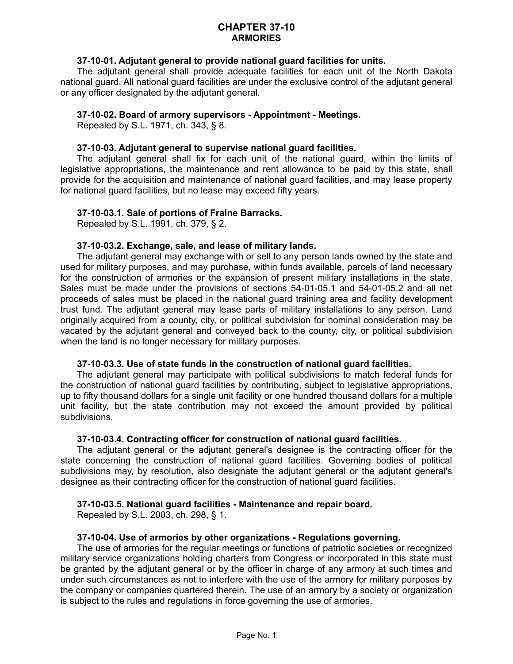## **CHAPTER 37-10 ARMORIES**

## **37-10-01. Adjutant general to provide national guard facilities for units.**

The adjutant general shall provide adequate facilities for each unit of the North Dakota national guard. All national guard facilities are under the exclusive control of the adjutant general or any officer designated by the adjutant general.

#### **37-10-02. Board of armory supervisors - Appointment - Meetings.**

Repealed by S.L. 1971, ch. 343, § 8.

#### **37-10-03. Adjutant general to supervise national guard facilities.**

The adjutant general shall fix for each unit of the national guard, within the limits of legislative appropriations, the maintenance and rent allowance to be paid by this state, shall provide for the acquisition and maintenance of national guard facilities, and may lease property for national guard facilities, but no lease may exceed fifty years.

### **37-10-03.1. Sale of portions of Fraine Barracks.**

Repealed by S.L. 1991, ch. 379, § 2.

## **37-10-03.2. Exchange, sale, and lease of military lands.**

The adjutant general may exchange with or sell to any person lands owned by the state and used for military purposes, and may purchase, within funds available, parcels of land necessary for the construction of armories or the expansion of present military installations in the state. Sales must be made under the provisions of sections 54-01-05.1 and 54-01-05.2 and all net proceeds of sales must be placed in the national guard training area and facility development trust fund. The adjutant general may lease parts of military installations to any person. Land originally acquired from a county, city, or political subdivision for nominal consideration may be vacated by the adjutant general and conveyed back to the county, city, or political subdivision when the land is no longer necessary for military purposes.

#### **37-10-03.3. Use of state funds in the construction of national guard facilities.**

The adjutant general may participate with political subdivisions to match federal funds for the construction of national guard facilities by contributing, subject to legislative appropriations, up to fifty thousand dollars for a single unit facility or one hundred thousand dollars for a multiple unit facility, but the state contribution may not exceed the amount provided by political subdivisions.

#### **37-10-03.4. Contracting officer for construction of national guard facilities.**

The adjutant general or the adjutant general's designee is the contracting officer for the state concerning the construction of national guard facilities. Governing bodies of political subdivisions may, by resolution, also designate the adjutant general or the adjutant general's designee as their contracting officer for the construction of national guard facilities.

## **37-10-03.5. National guard facilities - Maintenance and repair board.**

Repealed by S.L. 2003, ch. 298, § 1.

#### **37-10-04. Use of armories by other organizations - Regulations governing.**

The use of armories for the regular meetings or functions of patriotic societies or recognized military service organizations holding charters from Congress or incorporated in this state must be granted by the adjutant general or by the officer in charge of any armory at such times and under such circumstances as not to interfere with the use of the armory for military purposes by the company or companies quartered therein. The use of an armory by a society or organization is subject to the rules and regulations in force governing the use of armories.